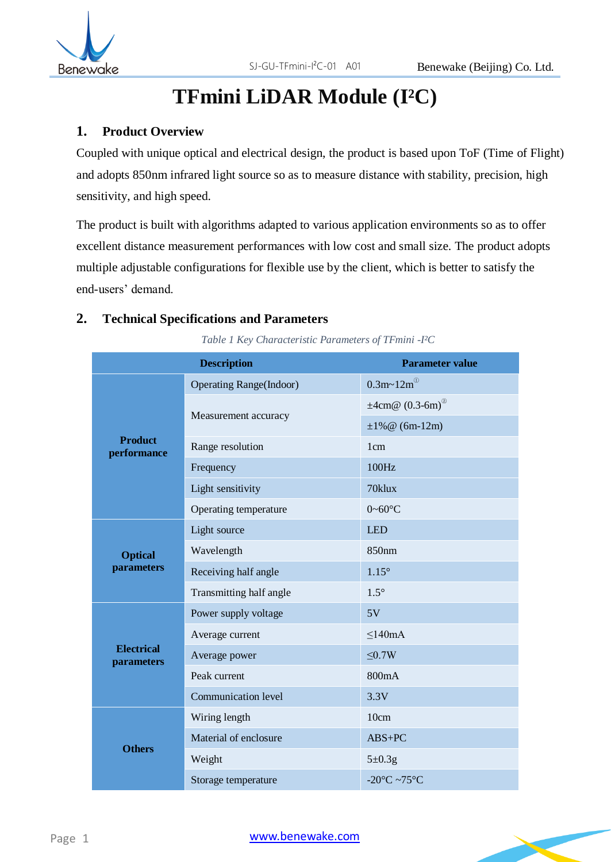

# **TFmini LiDAR Module (I²C)**

# **1. Product Overview**

Coupled with unique optical and electrical design, the product is based upon ToF (Time of Flight) and adopts 850nm infrared light source so as to measure distance with stability, precision, high sensitivity, and high speed.

The product is built with algorithms adapted to various application environments so as to offer excellent distance measurement performances with low cost and small size. The product adopts multiple adjustable configurations for flexible use by the client, which is better to satisfy the end-users' demand.

### **2. Technical Specifications and Parameters**

*Table 1 Key Characteristic Parameters of TFmini -I²C*

|                                 | <b>Description</b>              | <b>Parameter value</b>                            |
|---------------------------------|---------------------------------|---------------------------------------------------|
| <b>Product</b><br>performance   | <b>Operating Range</b> (Indoor) | $0.3m - 12m^0$                                    |
|                                 | Measurement accuracy            | $\pm 4$ cm@ (0.3-6m) <sup>@</sup>                 |
|                                 |                                 | $\pm 1\%$ @ (6m-12m)                              |
|                                 | Range resolution                | 1 <sub>cm</sub>                                   |
|                                 | Frequency                       | 100Hz                                             |
|                                 | Light sensitivity               | 70klux                                            |
|                                 | Operating temperature           | $0 \sim 60^{\circ}$ C                             |
| <b>Optical</b><br>parameters    | Light source                    | <b>LED</b>                                        |
|                                 | Wavelength                      | 850 <sub>nm</sub>                                 |
|                                 | Receiving half angle            | $1.15^\circ$                                      |
|                                 | Transmitting half angle         | $1.5^\circ$                                       |
| <b>Electrical</b><br>parameters | Power supply voltage            | 5V                                                |
|                                 | Average current                 | $\leq 140 \text{mA}$                              |
|                                 | Average power                   | $\leq 0.7W$                                       |
|                                 | Peak current                    | 800mA                                             |
|                                 | Communication level             | 3.3V                                              |
| <b>Others</b>                   | Wiring length                   | 10cm                                              |
|                                 | Material of enclosure           | $ABS+PC$                                          |
|                                 | Weight                          | $5\pm0.3g$                                        |
|                                 | Storage temperature             | -20 $\mathrm{^{\circ}C}$ ~75 $\mathrm{^{\circ}C}$ |

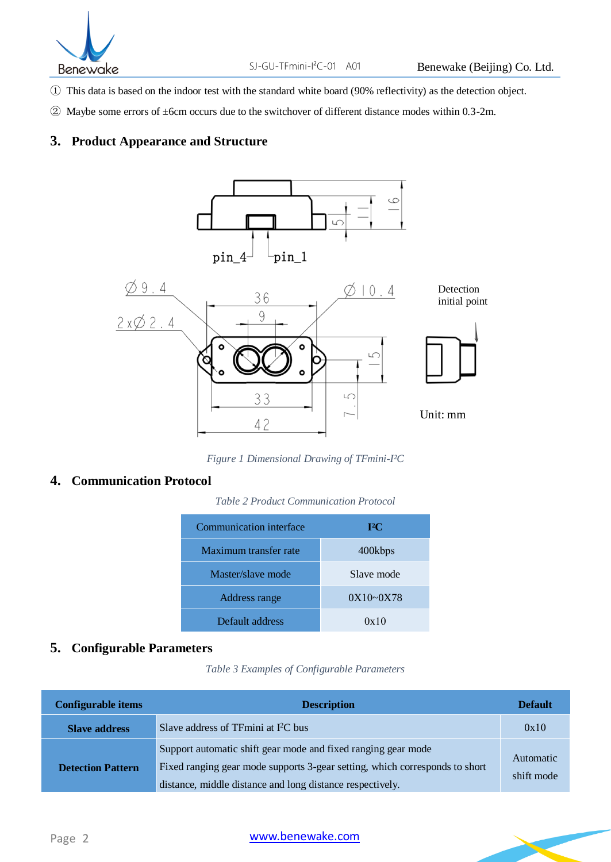

- ① This data is based on the indoor test with the standard white board (90% reflectivity) as the detection object.
- ② Maybe some errors of ±6cm occurs due to the switchover of different distance modes within 0.3-2m.

#### **3. Product Appearance and Structure**



*Figure 1 Dimensional Drawing of TFmini-I²C*

### **4. Communication Protocol**

*Table 2 Product Communication Protocol*

| Communication interface | $I^2C$        |
|-------------------------|---------------|
| Maximum transfer rate   | 400kbps       |
| Master/slave mode       | Slave mode    |
| Address range           | $0X10 - 0X78$ |
| Default address         | 0x10          |

# **5. Configurable Parameters**

*Table 3 Examples of Configurable Parameters*

| <b>Configurable items</b> | <b>Description</b>                                                                                                                                                                                        | <b>Default</b>          |
|---------------------------|-----------------------------------------------------------------------------------------------------------------------------------------------------------------------------------------------------------|-------------------------|
| <b>Slave address</b>      | Slave address of TFmini at $I2C$ bus                                                                                                                                                                      | 0x10                    |
| <b>Detection Pattern</b>  | Support automatic shift gear mode and fixed ranging gear mode<br>Fixed ranging gear mode supports 3-gear setting, which corresponds to short<br>distance, middle distance and long distance respectively. | Automatic<br>shift mode |

#### [www.benewake.com](http://www.benewake.com/)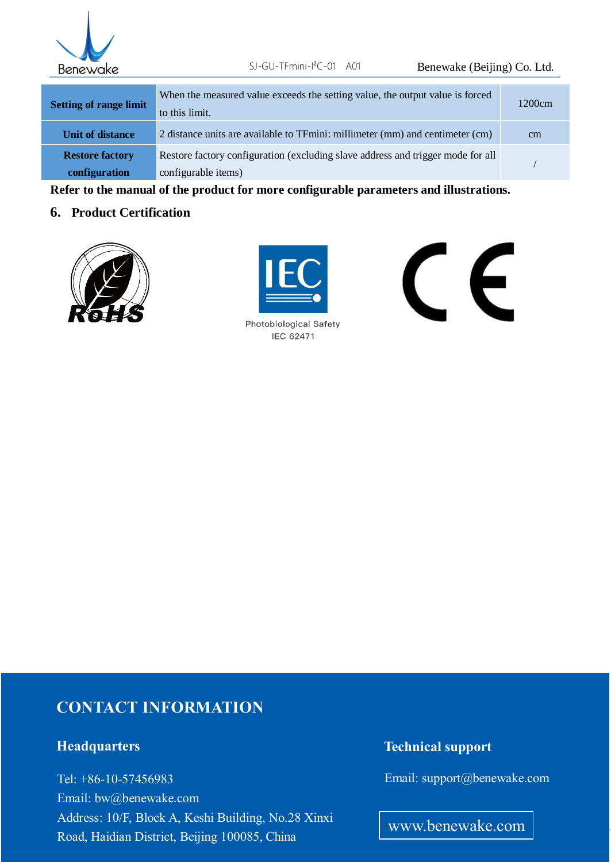

| <b>Setting of range limit</b> | When the measured value exceeds the setting value, the output value is forced<br>to this limit. | 1200cm |
|-------------------------------|-------------------------------------------------------------------------------------------------|--------|
| <b>Unit of distance</b>       | 2 distance units are available to TFmini: millimeter (mm) and centimeter (cm)                   | cm     |
| <b>Restore factory</b>        | Restore factory configuration (excluding slave address and trigger mode for all                 |        |
| configuration                 | configurable items)                                                                             |        |

**Refer to the manual of the product for more configurable parameters and illustrations.**

#### **6. Product Certification**





**Photobiological Safety IEC 62471** 

C E

# **CONTACT INFORMATION**

# **Headquarters**

Road, Haidian District, Beijing 100085, China Tel: +86-10-57456983 Email: bw@benewake.com Address: 10/F, Block A, Keshi Building, No.28 Xinxi

# **Technical support**

Email: support@benewake.com

www.benewake.com